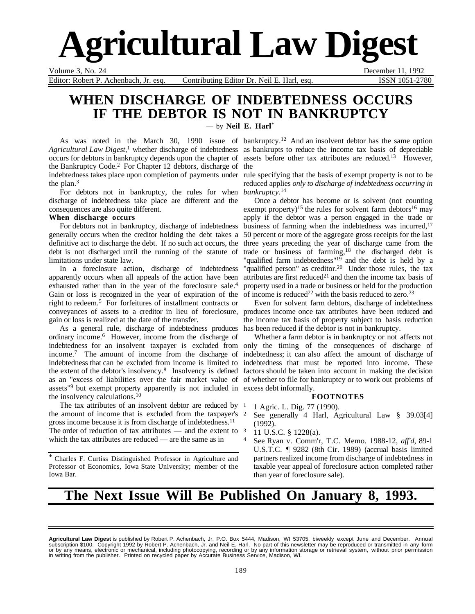

Editor: Robert P. Achenbach, Jr. esq. Contributing Editor Dr. Neil E. Harl, esq. ISSN 1051-2780

Volume 3, No. 24 December 11, 1992

# **WHEN DISCHARGE OF INDEBTEDNESS OCCURS IF THE DEBTOR IS NOT IN BANKRUPTCY**

— by **Neil E. Harl**\*

*Agricultural Law Digest*, 1 whether discharge of indebtedness as bankrupts to reduce the income tax basis of depreciable occurs for debtors in bankruptcy depends upon the chapter of assets before other tax attributes are reduced.13 However, the Bankruptcy Code.<sup>2</sup> For Chapter 12 debtors, discharge of the indebtedness takes place upon completion of payments under rule specifying that the basis of exempt property is not to be the plan.3

For debtors not in bankruptcy, the rules for when *bankruptcy*.<sup>14</sup> discharge of indebtedness take place are different and the consequences are also quite different.

### **When discharge occurs**

For debtors not in bankruptcy, discharge of indebtedness generally occurs when the creditor holding the debt takes a definitive act to discharge the debt. If no such act occurs, the debt is not discharged until the running of the statute of limitations under state law.

In a foreclosure action, discharge of indebtedness apparently occurs when all appeals of the action have been exhausted rather than in the year of the foreclosure sale.4 Gain or loss is recognized in the year of expiration of the right to redeem.5 For forfeitures of installment contracts or conveyances of assets to a creditor in lieu of foreclosure, produces income once tax attributes have been reduced and gain or loss is realized at the date of the transfer.

As a general rule, discharge of indebtedness produces has been reduced if the debtor is not in bankruptcy. ordinary income.6 However, income from the discharge of indebtedness for an insolvent taxpayer is excluded from only the timing of the consequences of discharge of income.7 The amount of income from the discharge of indebtedness that can be excluded from income is limited to indebtedness that must be reported into income. These the extent of the debtor's insolvency.<sup>8</sup> Insolvency is defined factors should be taken into account in making the decision as an "excess of liabilities over the fair market value of assets<sup>"9</sup> but exempt property apparently is not included in excess debt informally. the insolvency calculations.10

The tax attributes of an insolvent debtor are reduced by 1 the amount of income that is excluded from the taxpayer's gross income because it is from discharge of indebtedness.11 The order of reduction of tax attributes  $-$  and the extent to  $\frac{3}{2}$ which the tax attributes are reduced — are the same as in

\* Charles F. Curtiss Distinguished Professor in Agriculture and Professor of Economics, Iowa State University; member of the Iowa Bar.

As was noted in the March 30, 1990 issue of bankruptcy.<sup>12</sup> And an insolvent debtor has the same option

reduced applies *only to discharge of indebtedness occurring in*

Once a debtor has become or is solvent (not counting exempt property)<sup>15</sup> the rules for solvent farm debtors<sup>16</sup> may apply if the debtor was a person engaged in the trade or business of farming when the indebtedness was incurred,<sup>17</sup> 50 percent or more of the aggregate gross receipts for the last three years preceding the year of discharge came from the trade or business of farming,18 the discharged debt is "qualified farm indebtedness"<sup>19</sup> and the debt is held by a "qualified person" as creditor.<sup>20</sup> Under those rules, the tax attributes are first reduced<sup>21</sup> and then the income tax basis of property used in a trade or business or held for the production of income is reduced<sup>22</sup> with the basis reduced to zero.<sup>23</sup>

Even for solvent farm debtors, discharge of indebtedness the income tax basis of property subject to basis reduction

Whether a farm debtor is in bankruptcy or not affects not indebtedness; it can also affect the amount of discharge of of whether to file for bankruptcy or to work out problems of

### **FOOTNOTES**

- <sup>1</sup> 1 Agric. L. Dig. 77 (1990).
- <sup>2</sup> See generally 4 Harl, Agricultural Law § 39.03[4] (1992).
	- <sup>3</sup> 11 U.S.C. § 1228(a).
- <sup>4</sup> See Ryan v. Comm'r, T.C. Memo. 1988-12, *aff'd*, 89-1 U.S.T.C. ¶ 9282 (8th Cir. 1989) (accrual basis limited partners realized income from discharge of indebtedness in taxable year appeal of foreclosure action completed rather than year of foreclosure sale).

# **The Next Issue Will Be Published On January 8, 1993.**

**Agricultural Law Digest** is published by Robert P. Achenbach, Jr, P.O. Box 5444, Madison, WI 53705, biweekly except June and December. Annual<br>subscription \$100. Copyright 1992 by Robert P. Achenbach, Jr. and Neil E. Harl. in writing from the publisher. Printed on recycled paper by Accurate Business Service, Madison, WI.